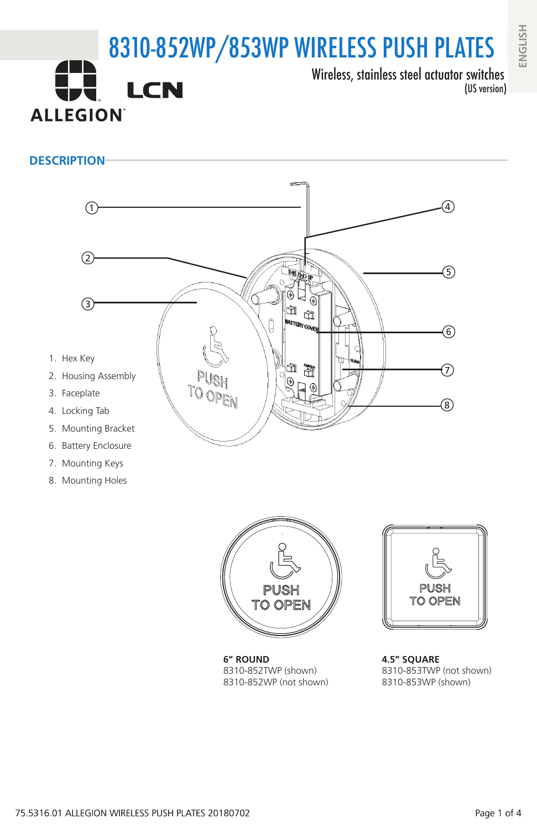# 8310-852WP/853WP WIRELESS PUSH PLATES Wireless, stainless steel actuator switches **LCN** (US version) **ALLEGION**

## **DESCRIPTION**



- 7. Mounting Keys
- 8. Mounting Holes







**4.5" SQUARE** 8310-853TWP (not shown) 8310-853WP (shown)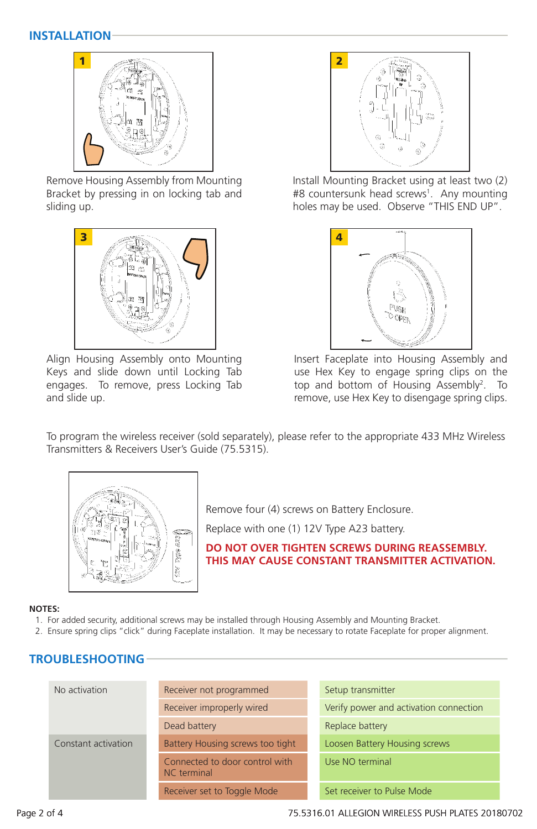### **INSTALLATION**



Remove Housing Assembly from Mounting Bracket by pressing in on locking tab and sliding up.



Align Housing Assembly onto Mounting Keys and slide down until Locking Tab engages. To remove, press Locking Tab and slide up.



Install Mounting Bracket using at least two (2) #8 countersunk head screws<sup>1</sup>. Any mounting holes may be used. Observe "THIS END UP".



Insert Faceplate into Housing Assembly and use Hex Key to engage spring clips on the top and bottom of Housing Assembly<sup>2</sup>. To remove, use Hex Key to disengage spring clips.

To program the wireless receiver (sold separately), please refer to the appropriate 433 MHz Wireless Transmitters & Receivers User's Guide (75.5315).



Remove four (4) screws on Battery Enclosure.

Replace with one (1) 12V Type A23 battery.

**DO NOT OVER TIGHTEN SCREWS DURING REASSEMBLY. THIS MAY CAUSE CONSTANT TRANSMITTER ACTIVATION.**

#### **NOTES:**

- 1. For added security, additional screws may be installed through Housing Assembly and Mounting Bracket.
- 2. Ensure spring clips "click" during Faceplate installation. It may be necessary to rotate Faceplate for proper alignment.

# **TROUBLESHOOTING**

| No activation       | Receiver not programmed                       | Setup transmitter                      |  |
|---------------------|-----------------------------------------------|----------------------------------------|--|
|                     | Receiver improperly wired                     | Verify power and activation connection |  |
|                     | Dead battery                                  | Replace battery                        |  |
| Constant activation | Battery Housing screws too tight              | Loosen Battery Housing screws          |  |
|                     | Connected to door control with<br>NC terminal | Use NO terminal                        |  |
|                     | Receiver set to Toggle Mode                   | Set receiver to Pulse Mode             |  |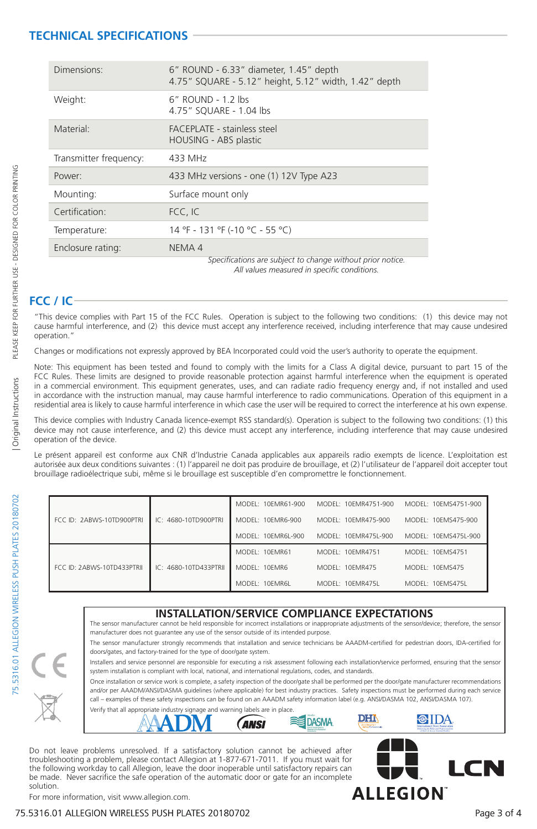# **TECHNICAL SPECIFICATIONS**

| Dimensions:            | 6" ROUND - 6.33" diameter, 1.45" depth<br>4.75" SQUARE - 5.12" height, 5.12" width, 1.42" depth           |  |  |
|------------------------|-----------------------------------------------------------------------------------------------------------|--|--|
| Weight:                | 6" ROUND - 1.2 lbs<br>4.75" SOUARE - 1.04 lbs                                                             |  |  |
| Material:              | <b>FACEPLATE - stainless steel</b><br>HOUSING - ABS plastic                                               |  |  |
| Transmitter frequency: | 433 MHz                                                                                                   |  |  |
| Power:                 | 433 MHz versions - one (1) 12V Type A23                                                                   |  |  |
| Mounting:              | Surface mount only                                                                                        |  |  |
| Certification:         | FCC, IC                                                                                                   |  |  |
| Temperature:           | 14 °F - 131 °F (-10 °C - 55 °C)                                                                           |  |  |
| Enclosure rating:      | NEMA 4                                                                                                    |  |  |
|                        | Specifications are subject to change without prior notice.<br>All values measured in specific conditions. |  |  |

# **FCC / IC**

"This device complies with Part 15 of the FCC Rules. Operation is subject to the following two conditions: (1) this device may not cause harmful interference, and (2) this device must accept any interference received, including interference that may cause undesired operation."

Changes or modifications not expressly approved by BEA Incorporated could void the user's authority to operate the equipment.

Note: This equipment has been tested and found to comply with the limits for a Class A digital device, pursuant to part 15 of the FCC Rules. These limits are designed to provide reasonable protection against harmful interference when the equipment is operated in a commercial environment. This equipment generates, uses, and can radiate radio frequency energy and, if not installed and used in accordance with the instruction manual, may cause harmful interference to radio communications. Operation of this equipment in a residential area is likely to cause harmful interference in which case the user will be required to correct the interference at his own expense.

This device complies with Industry Canada licence-exempt RSS standard(s). Operation is subject to the following two conditions: (1) this device may not cause interference, and (2) this device must accept any interference, including interference that may cause undesired operation of the device.

Le présent appareil est conforme aux CNR d'Industrie Canada applicables aux appareils radio exempts de licence. L'exploitation est autorisée aux deux conditions suivantes : (1) l'appareil ne doit pas produire de brouillage, et (2) l'utilisateur de l'appareil doit accepter tout brouillage radioélectrique subi, même si le brouillage est susceptible d'en compromettre le fonctionnement.

| FCC ID: 2ABWS-10TD900PTRL  | IC: 4680-10TD900PTRI    | MODEL: 10FMR61-900 | MODEL: 10EMR4751-900 | MODEL: 10EMS4751-900 |
|----------------------------|-------------------------|--------------------|----------------------|----------------------|
|                            |                         | MODEL: 10EMR6-900  | MODEL: 10FMR475-900  | MODEL: 10FMS475-900  |
|                            |                         | MODEL: 10FMR6L-900 | MODEL: 10EMR475L-900 | MODEL: 10EMS475L-900 |
| FCC ID: 2ABWS-10TD433PTRII | $IC: 4680-10TD433PTRII$ | MODEL: 10FMR61     | MODEL: 10FMR4751     | MODEL: 10FMS4751     |
|                            |                         | MODEL: 10FMR6      | MODEL: 10FMR475      | MODEL: 10FMS475      |
|                            |                         | MODEL: 10FMR6L     | MODEL: 10FMR475L     | MODEL: 10FMS475L     |

#### **INSTALLATION/SERVICE COMPLIANCE EXPECTATIONS**

The sensor manufacturer cannot be held responsible for incorrect installations or inappropriate adjustments of the sensor/device; therefore, the sensor manufacturer does not guarantee any use of the sensor outside of its intended purpose. The sensor manufacturer strongly recommends that installation and service technicians be AAADM-certified for pedestrian doors, IDA-certified for

doors/gates, and factory-trained for the type of door/gate system. Installers and service personnel are responsible for executing a risk assessment following each installation/service performed, ensuring that the sensor system installation is compliant with local, national, and international regulations, codes, and standards.

Once installation or service work is complete, a safety inspection of the door/gate shall be performed per the door/gate manufacturer recommendations and/or per AAADM/ANSI/DASMA guidelines (where applicable) for best industry practices. Safety inspections must be performed during each service call – examples of these safety inspections can be found on an AAADM safety information label (e.g. ANSI/DASMA 102, ANSI/DASMA 107).



Do not leave problems unresolved. If a satisfactory solution cannot be achieved after troubleshooting a problem, please contact Allegion at 1-877-671-7011. If you must wait for the following workday to call Allegion, leave the door inoperable until satisfactory repairs can be made. Never sacrifice the safe operation of the automatic door or gate for an incomplete solution.



**CIDA** 

DHN

For more information, visit www.allegion.com.